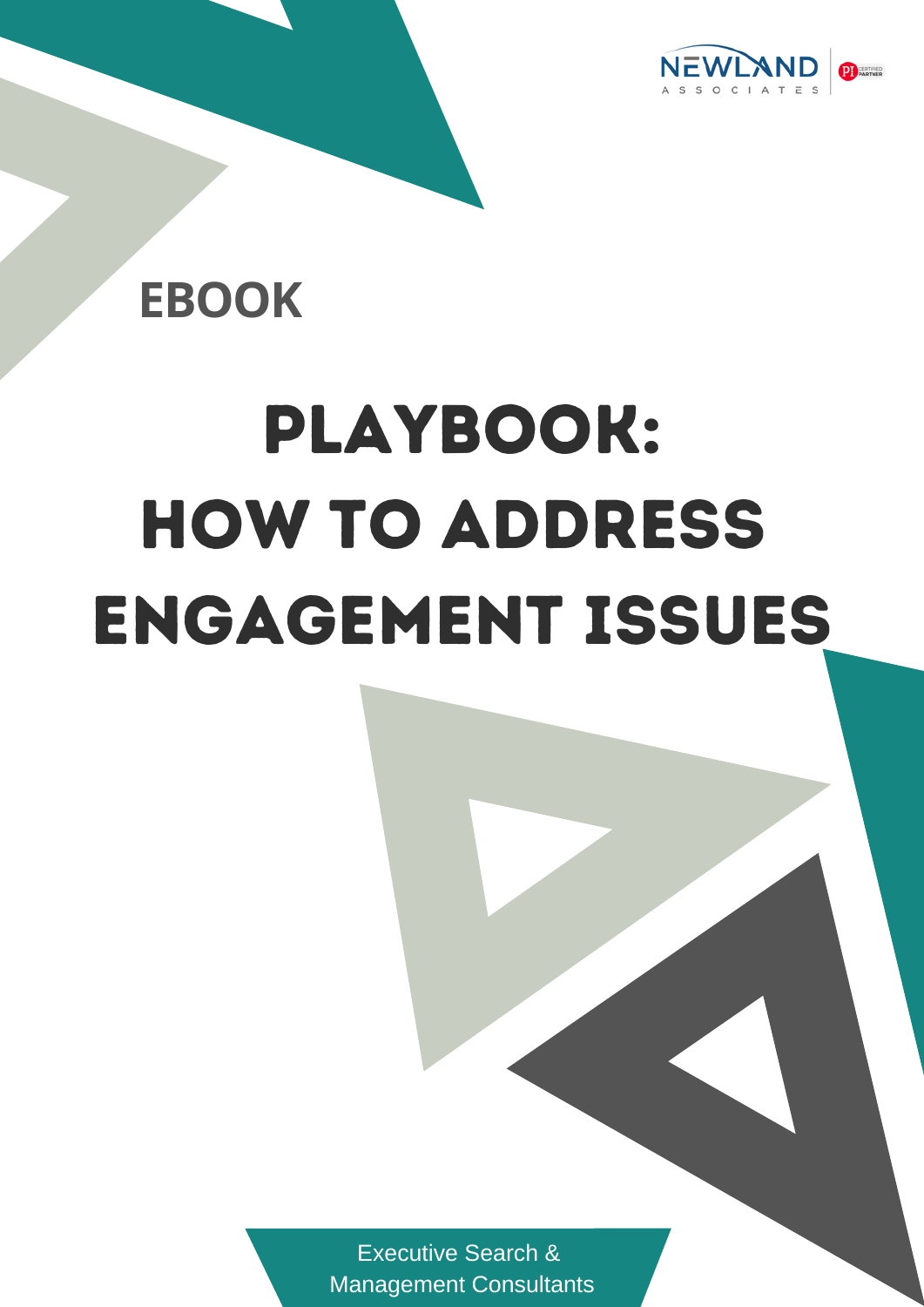

## **EBOOK**

# Playbook: How to Address engagement issues

[Executive](http://www.newlandsearch.com/) Search & [Management](http://www.newlandsearch.com/) Consultants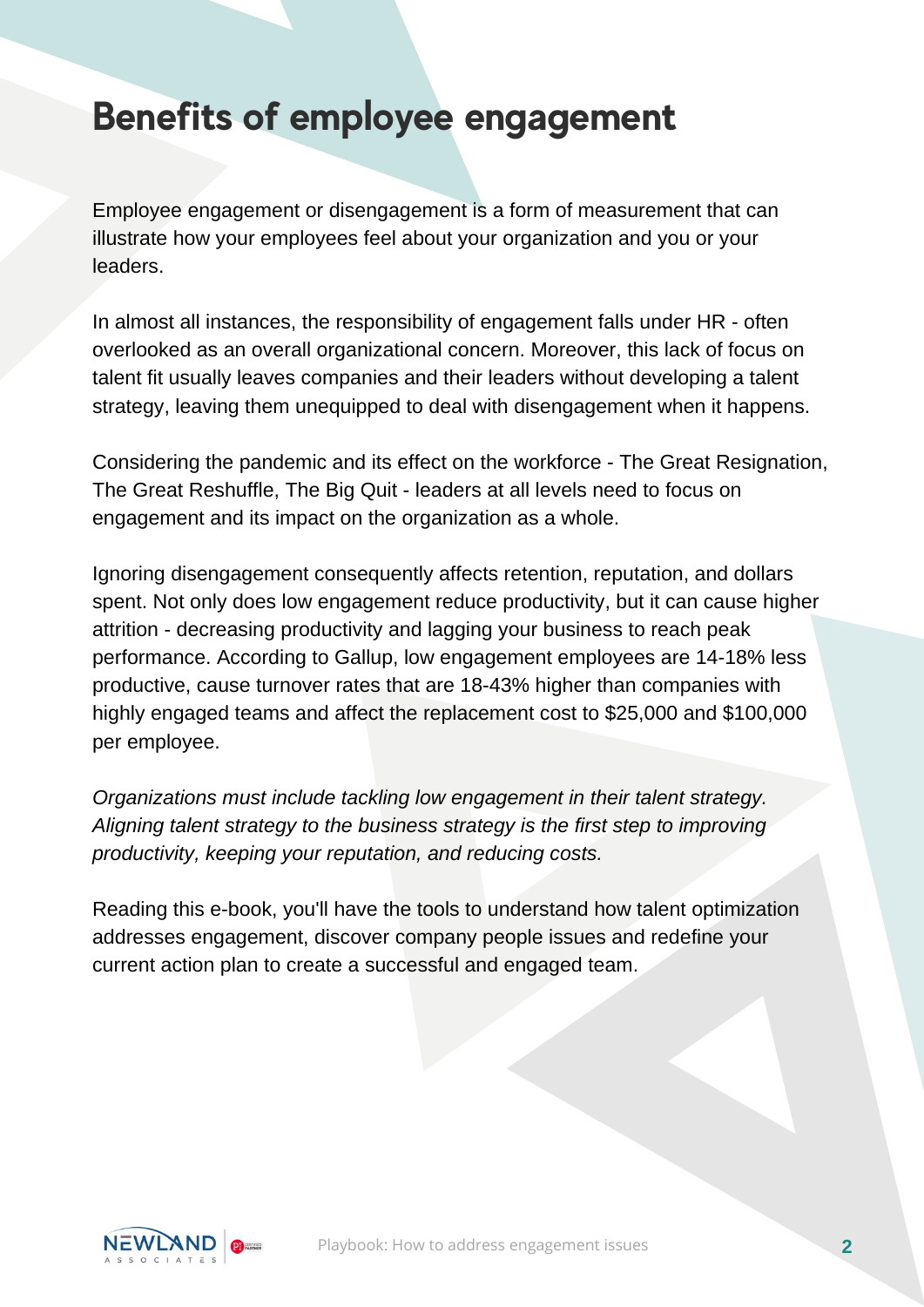#### **Benefits of employee engagement**

Employee engagement or disengagement is a form of measurement that can illustrate how your employees feel about your organization and you or your leaders.

In almost all instances, the responsibility of engagement falls under HR - often overlooked as an overall organizational concern. Moreover, this lack of focus on talent fit usually leaves companies and their leaders without developing a talent strategy, leaving them unequipped to deal with disengagement when it happens.

Considering the pandemic and its effect on the workforce - The Great Resignation, The Great Reshuffle, The Big Quit - leaders at all levels need to focus on engagement and its impact on the organization as a whole.

Ignoring disengagement consequently affects retention, reputation, and dollars spent. Not only does low engagement reduce productivity, but it can cause higher attrition - decreasing productivity and lagging your business to reach peak performance. According to [Gallup](https://www.gallup.com/workplace/351545/great-resignation-really-great-discontent.aspx), low engagement employees are 14-18% less productive, cause turnover rates that are 18-43% higher than companies with highly engaged teams and affect the replacement cost to \$25,000 and \$100,000 per employee.

*Organizations must include tackling low engagement in their talent strategy. Aligning talent strategy to the business strategy is the first step to improving productivity, keeping your reputation, and reducing costs.*

Reading this e-book, you'll have the tools to understand how talent optimization addresses engagement, discover company people issues and redefine your current action plan to create a successful and engaged team.

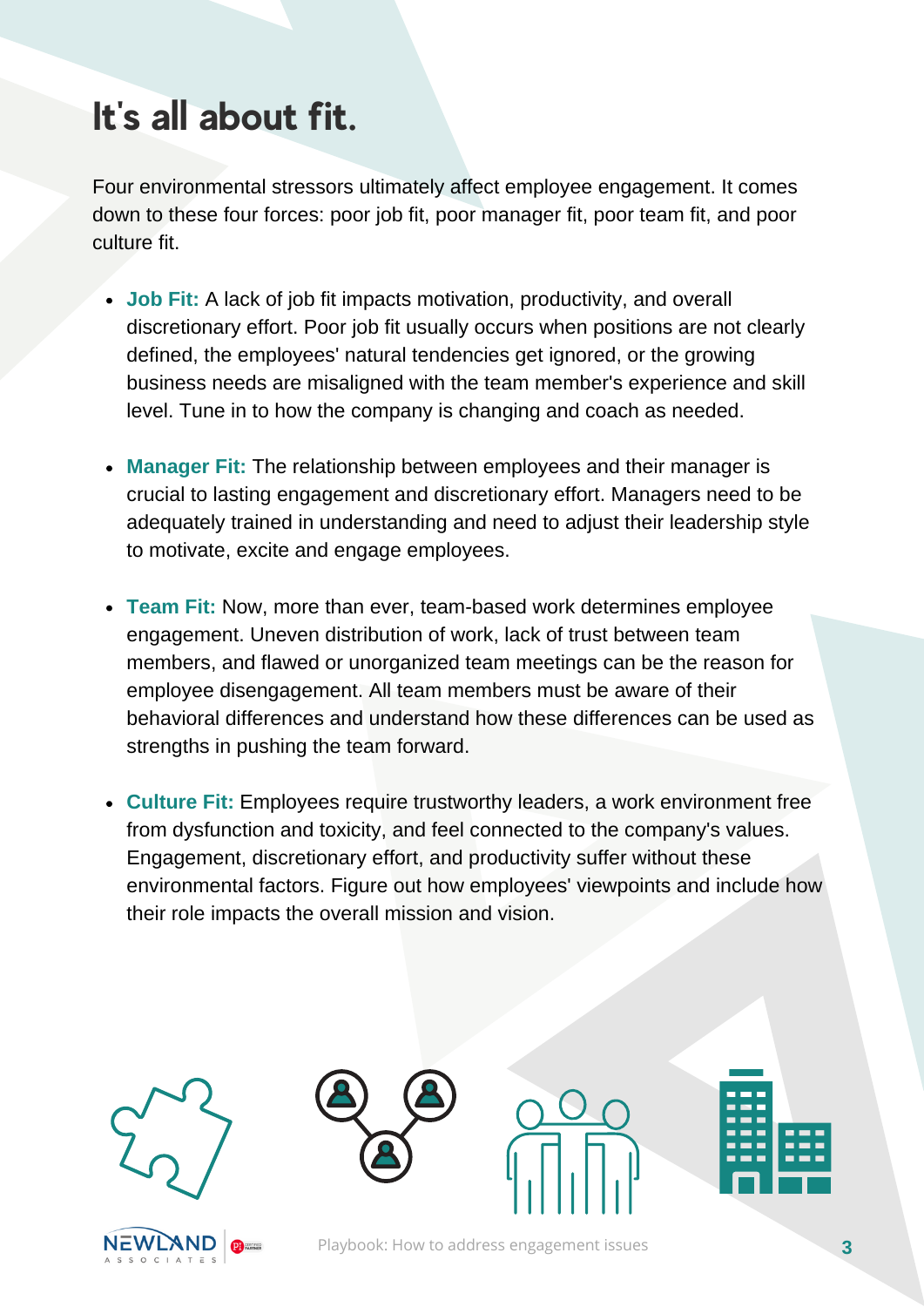## **It' s all about fit.**

Four environmental stressors ultimately affect employee engagement. It comes down to these four forces: poor job fit, poor manager fit, poor team fit, and poor culture fit.

- **Job Fit:** A lack of job fit impacts motivation, productivity, and overall discretionary effort. Poor job fit usually occurs when positions are not clearly defined, the employees' natural tendencies get ignored, or the growing business needs are misaligned with the team member's experience and skill level. Tune in to how the company is changing and coach as needed.
- **Manager Fit:** The relationship between employees and their manager is crucial to lasting engagement and discretionary effort. Managers need to be adequately trained in understanding and need to adjust their leadership style to motivate, excite and engage employees.
- **Team Fit:** Now, more than ever, team-based work determines employee engagement. Uneven distribution of work, lack of trust between team members, and flawed or unorganized team meetings can be the reason for employee disengagement. All team members must be aware of their behavioral differences and understand how these differences can be used as strengths in pushing the team forward.
- **Culture Fit:** Employees require trustworthy leaders, a work environment free from dysfunction and toxicity, and feel connected to the company's values. Engagement, discretionary effort, and productivity suffer without these environmental factors. Figure out how employees' viewpoints and include how their role impacts the overall mission and vision.









Playbook: How to address engagement issues **3**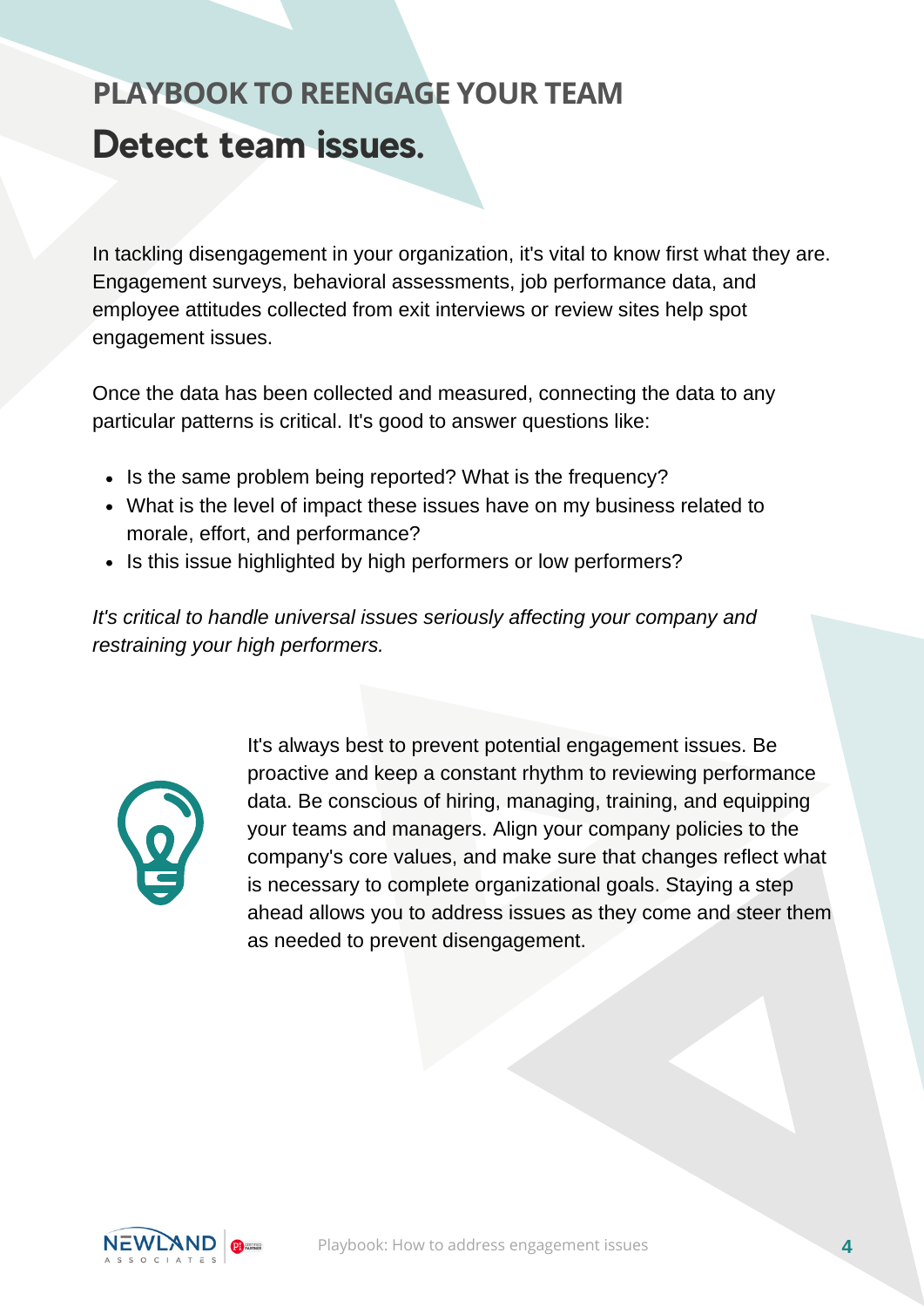#### **Detect team issues. PLAYBOOK TO REENGAGE YOUR TEAM**

In tackling disengagement in your organization, it's vital to know first what they are. Engagement surveys, behavioral assessments, job performance data, and employee attitudes collected from exit interviews or review sites help spot engagement issues.

Once the data has been collected and measured, connecting the data to any particular patterns is critical. It's good to answer questions like:

- Is the same problem being reported? What is the frequency?
- What is the level of impact these issues have on my business related to morale, effort, and performance?
- Is this issue highlighted by high performers or low performers?

*It's critical to handle universal issues seriously affecting your company and restraining your high performers.*



It's always best to prevent potential engagement issues. Be proactive and keep a constant rhythm to reviewing performance data. Be conscious of hiring, managing, training, and equipping your teams and managers. Align your company policies to the company's core values, and make sure that changes reflect what is necessary to complete organizational goals. Staying a step ahead allows you to address issues as they come and steer them as needed to prevent disengagement.

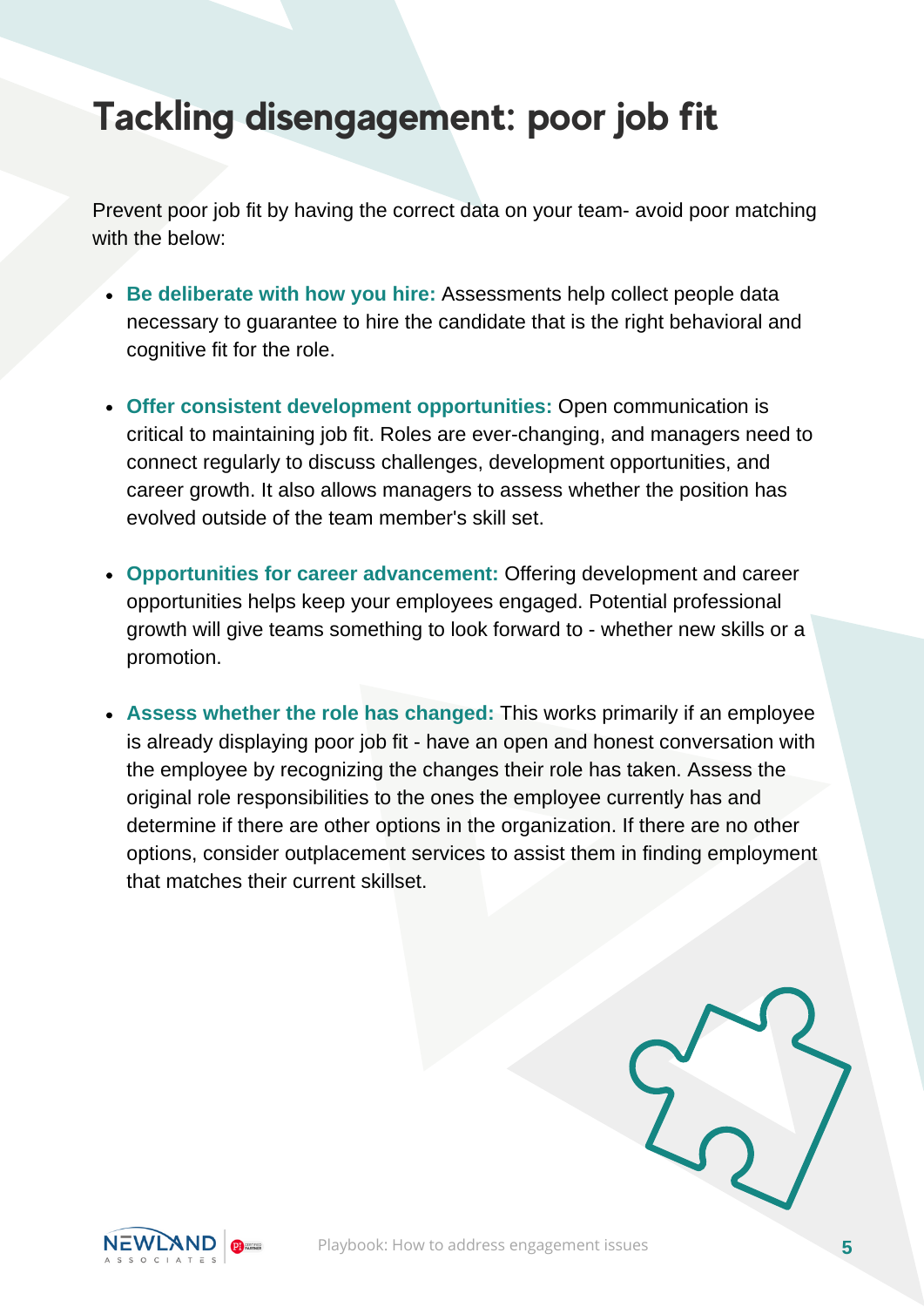#### **Tackling disengagement: poor job fit**

Prevent poor job fit by having the correct data on your team- avoid poor matching with the below:

- **Be deliberate with how you hire:** Assessments help collect people data necessary to guarantee to hire the candidate that is the right behavioral and cognitive fit for the role.
- **Offer consistent development opportunities:** Open communication is critical to maintaining job fit. Roles are ever-changing, and managers need to connect regularly to discuss challenges, development opportunities, and career growth. It also allows managers to assess whether the position has evolved outside of the team member's skill set.
- **Opportunities for career advancement:** Offering development and career opportunities helps keep your employees engaged. Potential professional growth will give teams something to look forward to - whether new skills or a promotion.
- **Assess whether the role has changed:** This works primarily if an employee is already displaying poor job fit - have an open and honest conversation with the employee by recognizing the changes their role has taken. Assess the original role responsibilities to the ones the employee currently has and determine if there are other options in the organization. If there are no other options, consider outplacement services to assist them in finding employment that matches their current skillset.

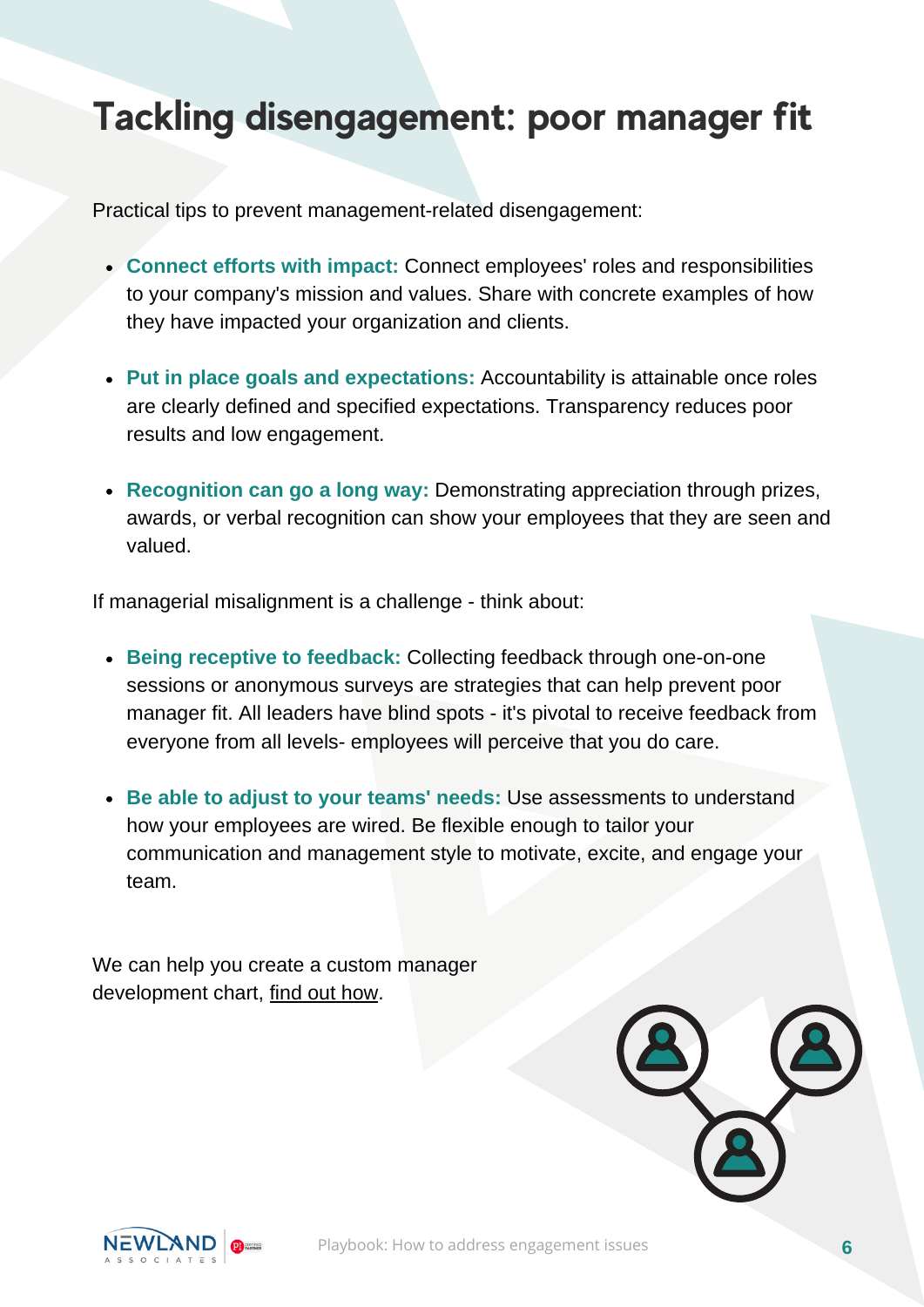#### **Tackling disengagement: poor manager fit**

Practical tips to prevent management-related disengagement:

- **Connect efforts with impact:** Connect employees' roles and responsibilities to your company's mission and values. Share with concrete examples of how they have impacted your organization and clients.
- **Put in place goals and expectations:** Accountability is attainable once roles are clearly defined and specified expectations. Transparency reduces poor results and low engagement.
- **Recognition can go a long way:** Demonstrating appreciation through prizes, awards, or verbal recognition can show your employees that they are seen and valued.

If managerial misalignment is a challenge - think about:

- **Being receptive to feedback:** Collecting feedback through one-on-one sessions or anonymous surveys are strategies that can help prevent poor manager fit. All leaders have blind spots - it's pivotal to receive feedback from everyone from all levels- employees will perceive that you do care.
- **Be able to adjust to your teams' needs:** Use assessments to understand how your employees are wired. Be flexible enough to tailor your communication and management style to motivate, excite, and engage your team.

We can help you create a custom manager development chart, find out [how.](https://www.newland-associates.com/employer-contact-us/)



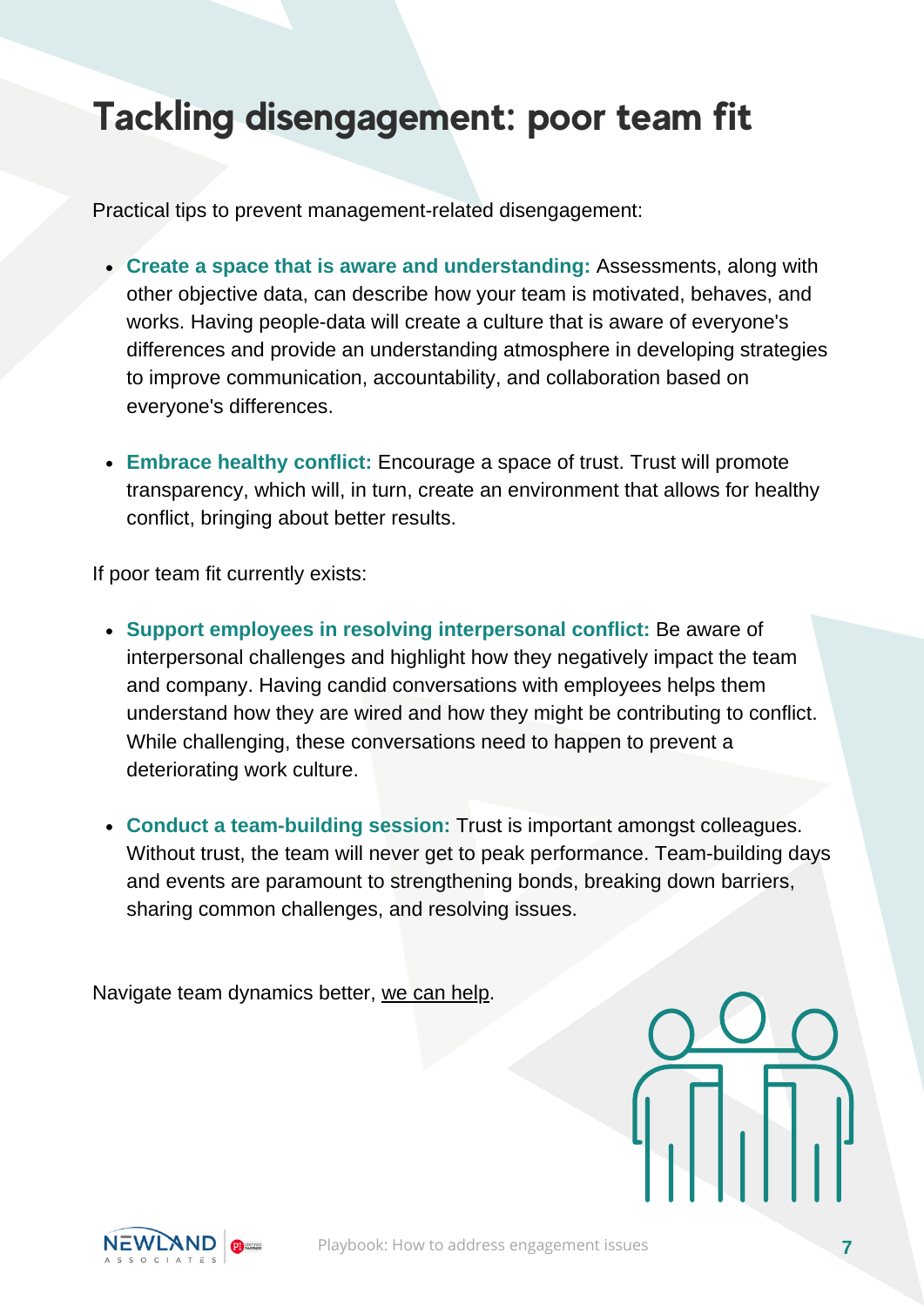#### **Tackling disengagement: poor team fit**

Practical tips to prevent management-related disengagement:

- **Create a space that is aware and understanding:** Assessments, along with other objective data, can describe how your team is motivated, behaves, and works. Having people-data will create a culture that is aware of everyone's differences and provide an understanding atmosphere in developing strategies to improve communication, accountability, and collaboration based on everyone's differences.
- **Embrace healthy conflict:** Encourage a space of trust. Trust will promote transparency, which will, in turn, create an environment that allows for healthy conflict, bringing about better results.

If poor team fit currently exists:

- **Support employees in resolving interpersonal conflict:** Be aware of interpersonal challenges and highlight how they negatively impact the team and company. Having candid conversations with employees helps them understand how they are wired and how they might be contributing to conflict. While challenging, these conversations need to happen to prevent a deteriorating work culture.
- **Conduct a team-building session:** Trust is important amongst colleagues. Without trust, the team will never get to peak performance. Team-building days and events are paramount to strengthening bonds, breaking down barriers, sharing common challenges, and resolving issues.

Navigate team dynamics better, we can [help.](https://www.newland-associates.com/employer-contact-us/)

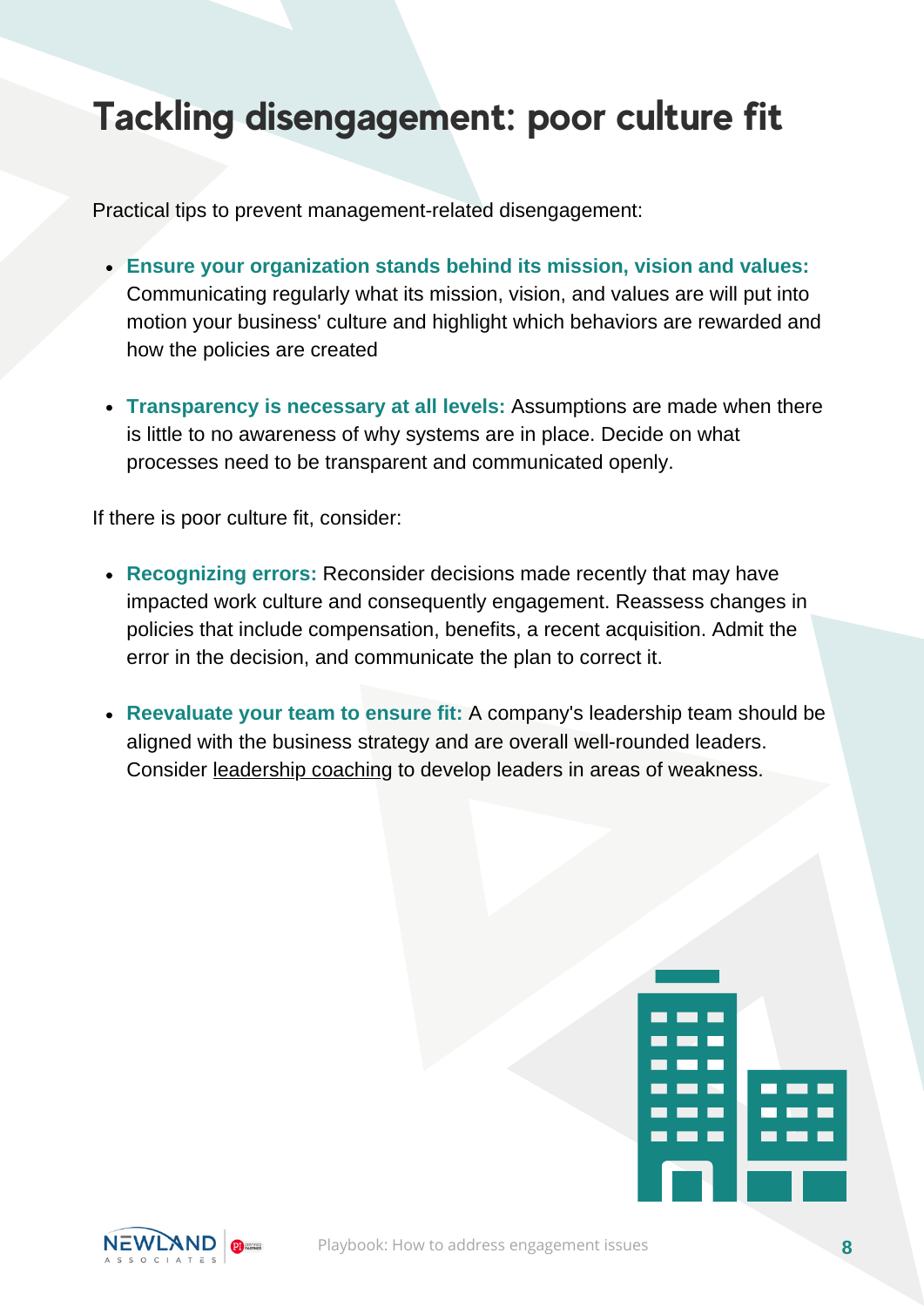### **Tackling disengagement: poor culture fit**

Practical tips to prevent management-related disengagement:

- **Ensure your organization stands behind its mission, vision and values:** Communicating regularly what its mission, vision, and values are will put into motion your business' culture and highlight which behaviors are rewarded and how the policies are created
- **Transparency is necessary at all levels:** Assumptions are made when there is little to no awareness of why systems are in place. Decide on what processes need to be transparent and communicated openly.

If there is poor culture fit, consider:

- **Recognizing errors:** Reconsider decisions made recently that may have impacted work culture and consequently engagement. Reassess changes in policies that include compensation, benefits, a recent acquisition. Admit the error in the decision, and communicate the plan to correct it.
- **Reevaluate your team to ensure fit:** A company's leadership team should be aligned with the business strategy and are overall well-rounded leaders. Consider [leadership](https://www.newland-associates.com/employer-contact-us/) coaching to develop leaders in areas of weakness.



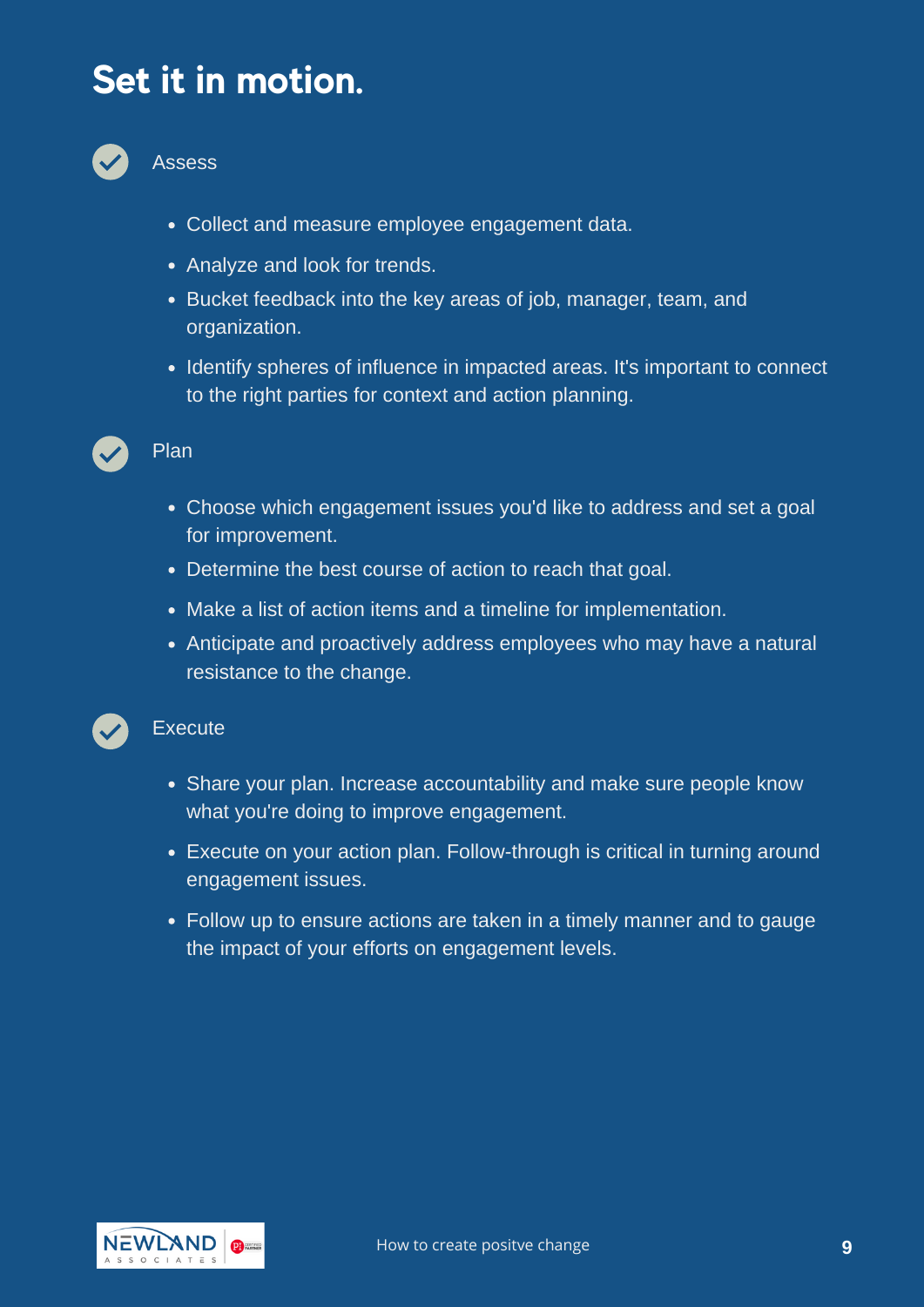#### **Set it in motion.**



Assess

- Collect and measure employee engagement data.
- Analyze and look for trends.
- Bucket feedback into the key areas of job, manager, team, and organization.
- Identify spheres of influence in impacted areas. It's important to connect to the right parties for context and action planning.



#### Plan

- Choose which engagement issues you'd like to address and set a goal for improvement.
- Determine the best course of action to reach that goal.
- Make a list of action items and a timeline for implementation.
- Anticipate and proactively address employees who may have a natural resistance to the change.

#### **Execute**

- Share your plan. Increase accountability and make sure people know what you're doing to improve engagement.
- Execute on your action plan. Follow-through is critical in turning around engagement issues.
- Follow up to ensure actions are taken in a timely manner and to gauge the impact of your efforts on engagement levels.